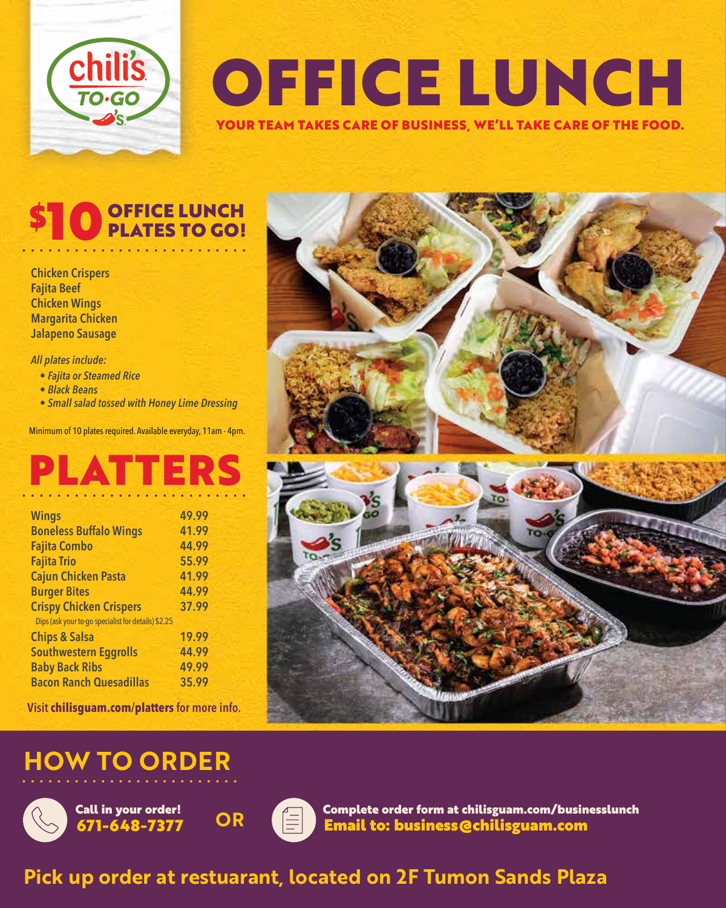

## OFFICE LUNCH YOUR TEAM TAKES CARE OF BUSINESS, WE'LL TAKE CARE OF THE FOOD.

# **OFFICE LUNCH<br>PLATES TO GO!**

••••••••••••••••••••••••••

**Chicken Crispers Fajita Beef Chicken Wings Margarita Chicken Jalapeno Sausage**

*All plates include:*

- *Fajita or Steamed Rice*
- *Black Beans*
- *Small salad tossed with Honey Lime Dressing*

Minimum of 10 plates required. Available everyday, 11am - 4pm.

## PLATTERS

| <b>Wings</b>                                        | 49.99 |  |  |  |  |
|-----------------------------------------------------|-------|--|--|--|--|
| <b>Boneless Buffalo Wings</b>                       | 41.99 |  |  |  |  |
| <b>Fajita Combo</b>                                 | 44.99 |  |  |  |  |
| <b>Fajita Trio</b>                                  | 55.99 |  |  |  |  |
| <b>Cajun Chicken Pasta</b>                          | 41.99 |  |  |  |  |
| <b>Burger Bites</b>                                 | 44.99 |  |  |  |  |
| <b>Crispy Chicken Crispers</b>                      | 37.99 |  |  |  |  |
| Dips (ask your to-go specialist for details) \$2.25 |       |  |  |  |  |
| <b>Chips &amp; Salsa</b>                            | 19.99 |  |  |  |  |
| <b>Southwestern Eggrolls</b>                        | 44.99 |  |  |  |  |
| <b>Baby Back Ribs</b>                               | 49.99 |  |  |  |  |
| <b>Bacon Ranch Quesadillas</b>                      | 35.99 |  |  |  |  |

**Visit chilisguam.com/platters for more info.**

#### **HOW TO ORDER**



671-648-7377 Call in your order! **OR**



Email to: business@chilisguam.com Complete order form at chilisguam.com/businesslunch

#### Pick up order at restuarant, located on 2F Tumon Sands Plaza

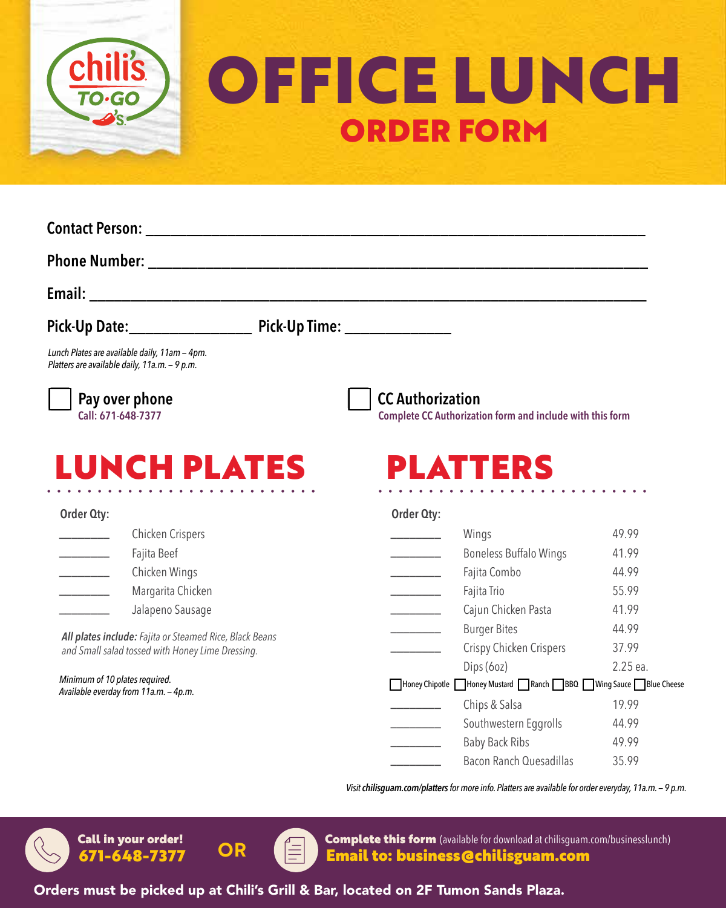

# OFFICE LUNCH ORDER FORM

| Pick-Up Date: ___________________________ Pick-Up Time: __________________                                  |  |                                                                                      |          |
|-------------------------------------------------------------------------------------------------------------|--|--------------------------------------------------------------------------------------|----------|
| Lunch Plates are available daily, 11am - 4pm.<br>Platters are available daily, 11a.m. - 9 p.m.              |  |                                                                                      |          |
| Pay over phone<br>Call: 671-648-7377                                                                        |  | <b>CC Authorization</b><br>Complete CC Authorization form and include with this form |          |
| <b>LUNCH PLATES</b>                                                                                         |  | PLATTERS                                                                             |          |
| Order Qty:                                                                                                  |  | Order Qty:                                                                           |          |
| Chicken Crispers                                                                                            |  | Wings                                                                                | 49.99    |
| Fajita Beef                                                                                                 |  | <b>Boneless Buffalo Wings</b><br>$\overline{\phantom{a}}$                            | 41.99    |
| Chicken Wings                                                                                               |  | Fajita Combo<br><u> 1999 - John Barnett</u>                                          | 44.99    |
| Margarita Chicken                                                                                           |  | Fajita Trio                                                                          | 55.99    |
| Jalapeno Sausage                                                                                            |  | Cajun Chicken Pasta<br><u> 1999 - Johann Barnett, f</u>                              | 41.99    |
| All plates include: Fajita or Steamed Rice, Black Beans<br>and Small salad tossed with Honey Lime Dressing. |  | <b>Burger Bites</b><br>________                                                      | 44.99    |
|                                                                                                             |  | Crispy Chicken Crispers                                                              | 37.99    |
|                                                                                                             |  | Dips (6oz)                                                                           | 2.25 ea. |
| Minimum of 10 plates required.<br>Available everday from 11a.m. - 4p.m.                                     |  | Honey Chipotle Honey Mustard Ranch BBQ Wing Sauce Blue Cheese                        |          |
|                                                                                                             |  | Chips & Salsa                                                                        | 19.99    |
|                                                                                                             |  | Southwestern Eggrolls                                                                | 44.99    |
|                                                                                                             |  | <b>Baby Back Ribs</b><br>$\frac{1}{2}$                                               | 49.99    |
|                                                                                                             |  | Bacon Ranch Quesadillas                                                              | 35.99    |

*Visit chilisguam.com/platters for more info. Platters are available for order everyday, 11a.m. — 9 p.m.*



671-648-7377 Call in your order!



Complete this form (available for download at chilisguam.com/businesslunch) **OR** Complete this form (available for download at chilisguam.<br> **OR** Email to: business @chilisguam.com

Orders must be picked up at Chili's Grill & Bar, located on 2F Tumon Sands Plaza.